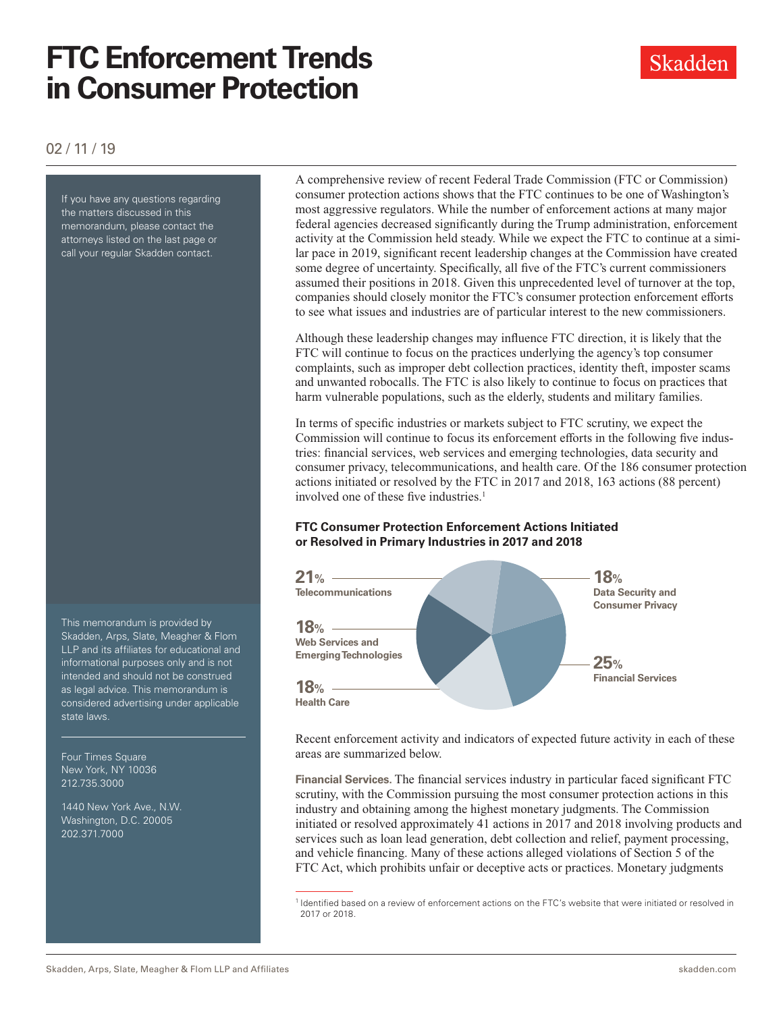# **FTC Enforcement Trends in Consumer Protection**

02 / 11 / 19

If you have any questions regarding the matters discussed in this memorandum, please contact the attorneys listed on the last page or call your regular Skadden contact.

This memorandum is provided by Skadden, Arps, Slate, Meagher & Flom LLP and its affiliates for educational and informational purposes only and is not intended and should not be construed as legal advice. This memorandum is considered advertising under applicable state laws.

Four Times Square New York, NY 10036 212.735.3000

1440 New York Ave., N.W. Washington, D.C. 20005 202.371.7000

A comprehensive review of recent Federal Trade Commission (FTC or Commission) consumer protection actions shows that the FTC continues to be one of Washington's most aggressive regulators. While the number of enforcement actions at many major federal agencies decreased significantly during the Trump administration, enforcement activity at the Commission held steady. While we expect the FTC to continue at a similar pace in 2019, significant recent leadership changes at the Commission have created some degree of uncertainty. Specifically, all five of the FTC's current commissioners assumed their positions in 2018. Given this unprecedented level of turnover at the top, companies should closely monitor the FTC's consumer protection enforcement efforts to see what issues and industries are of particular interest to the new commissioners.

Although these leadership changes may influence FTC direction, it is likely that the FTC will continue to focus on the practices underlying the agency's top consumer complaints, such as improper debt collection practices, identity theft, imposter scams and unwanted robocalls. The FTC is also likely to continue to focus on practices that harm vulnerable populations, such as the elderly, students and military families.

In terms of specific industries or markets subject to FTC scrutiny, we expect the Commission will continue to focus its enforcement efforts in the following five industries: financial services, web services and emerging technologies, data security and consumer privacy, telecommunications, and health care. Of the 186 consumer protection actions initiated or resolved by the FTC in 2017 and 2018, 163 actions (88 percent) involved one of these five industries.<sup>1</sup>

### **FTC Consumer Protection Enforcement Actions Initiated or Resolved in Primary Industries in 2017 and 2018**



Recent enforcement activity and indicators of expected future activity in each of these areas are summarized below.

**Financial Services.** The financial services industry in particular faced significant FTC scrutiny, with the Commission pursuing the most consumer protection actions in this industry and obtaining among the highest monetary judgments. The Commission initiated or resolved approximately 41 actions in 2017 and 2018 involving products and services such as loan lead generation, debt collection and relief, payment processing, and vehicle financing. Many of these actions alleged violations of Section 5 of the FTC Act, which prohibits unfair or deceptive acts or practices. Monetary judgments

<sup>1</sup> Identified based on a review of enforcement actions on the FTC's website that were initiated or resolved in 2017 or 2018.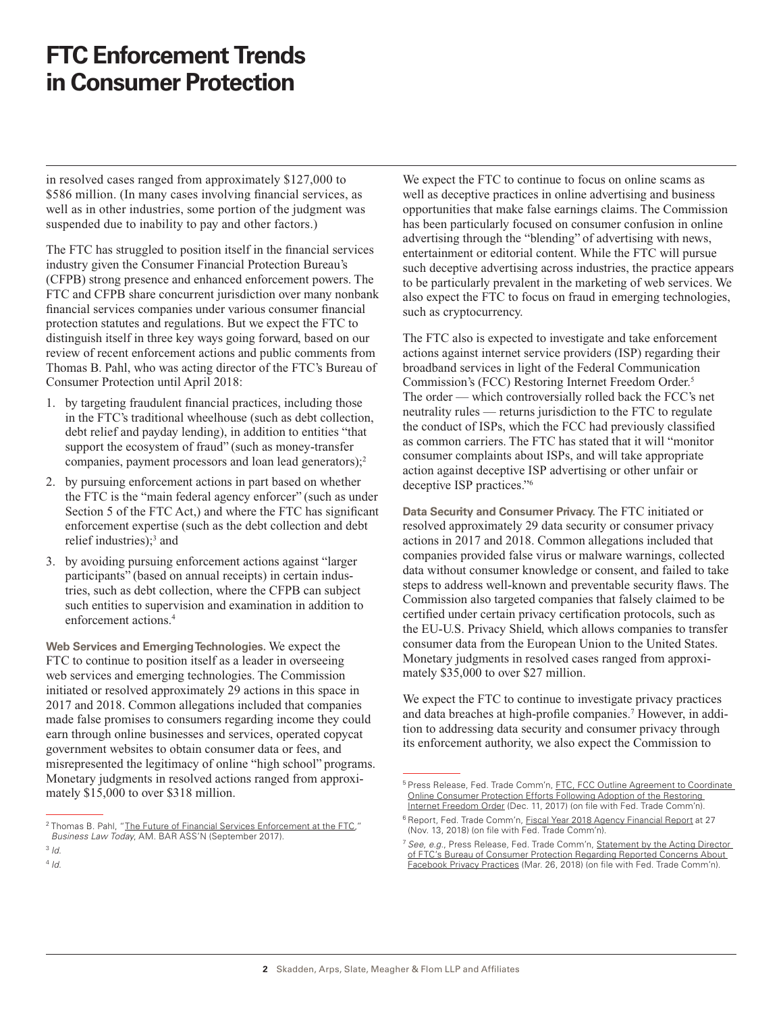## **FTC Enforcement Trends in Consumer Protection**

in resolved cases ranged from approximately \$127,000 to \$586 million. (In many cases involving financial services, as well as in other industries, some portion of the judgment was suspended due to inability to pay and other factors.)

The FTC has struggled to position itself in the financial services industry given the Consumer Financial Protection Bureau's (CFPB) strong presence and enhanced enforcement powers. The FTC and CFPB share concurrent jurisdiction over many nonbank financial services companies under various consumer financial protection statutes and regulations. But we expect the FTC to distinguish itself in three key ways going forward, based on our review of recent enforcement actions and public comments from Thomas B. Pahl, who was acting director of the FTC's Bureau of Consumer Protection until April 2018:

- 1. by targeting fraudulent financial practices, including those in the FTC's traditional wheelhouse (such as debt collection, debt relief and payday lending), in addition to entities "that support the ecosystem of fraud" (such as money-transfer companies, payment processors and loan lead generators); $2$
- 2. by pursuing enforcement actions in part based on whether the FTC is the "main federal agency enforcer" (such as under Section 5 of the FTC Act,) and where the FTC has significant enforcement expertise (such as the debt collection and debt relief industries);<sup>3</sup> and
- 3. by avoiding pursuing enforcement actions against "larger participants" (based on annual receipts) in certain industries, such as debt collection, where the CFPB can subject such entities to supervision and examination in addition to enforcement actions.<sup>4</sup>

**Web Services and Emerging Technologies.** We expect the FTC to continue to position itself as a leader in overseeing web services and emerging technologies. The Commission initiated or resolved approximately 29 actions in this space in 2017 and 2018. Common allegations included that companies made false promises to consumers regarding income they could earn through online businesses and services, operated copycat government websites to obtain consumer data or fees, and misrepresented the legitimacy of online "high school" programs. Monetary judgments in resolved actions ranged from approximately \$15,000 to over \$318 million.

<sup>3</sup> *Id.* <sup>4</sup> *Id.*

We expect the FTC to continue to focus on online scams as well as deceptive practices in online advertising and business opportunities that make false earnings claims. The Commission has been particularly focused on consumer confusion in online advertising through the "blending" of advertising with news, entertainment or editorial content. While the FTC will pursue such deceptive advertising across industries, the practice appears to be particularly prevalent in the marketing of web services. We also expect the FTC to focus on fraud in emerging technologies, such as cryptocurrency.

The FTC also is expected to investigate and take enforcement actions against internet service providers (ISP) regarding their broadband services in light of the Federal Communication Commission's (FCC) Restoring Internet Freedom Order.5 The order — which controversially rolled back the FCC's net neutrality rules — returns jurisdiction to the FTC to regulate the conduct of ISPs, which the FCC had previously classified as common carriers. The FTC has stated that it will "monitor consumer complaints about ISPs, and will take appropriate action against deceptive ISP advertising or other unfair or deceptive ISP practices."6

**Data Security and Consumer Privacy.** The FTC initiated or resolved approximately 29 data security or consumer privacy actions in 2017 and 2018. Common allegations included that companies provided false virus or malware warnings, collected data without consumer knowledge or consent, and failed to take steps to address well-known and preventable security flaws. The Commission also targeted companies that falsely claimed to be certified under certain privacy certification protocols, such as the EU-U.S. Privacy Shield, which allows companies to transfer consumer data from the European Union to the United States. Monetary judgments in resolved cases ranged from approximately \$35,000 to over \$27 million.

We expect the FTC to continue to investigate privacy practices and data breaches at high-profile companies.7 However, in addition to addressing data security and consumer privacy through its enforcement authority, we also expect the Commission to

<sup>&</sup>lt;sup>2</sup> Thomas B. Pahl, "[The Future of Financial Services Enforcement at the FTC,](http://www.skadden.com/-/media/files/publications/2019/01/ftc-enforcement-trends-in-consumer-protection/fn2pahlbltthefutureoffinancialservicesenforcementa.pdf)" *Business Law Today*, AM. BAR ASS'N (September 2017).

<sup>&</sup>lt;sup>5</sup> Press Release, Fed. Trade Comm'n, **FTC, FCC Outline Agreement to Coordinate** [Online Consumer Protection Efforts Following Adoption of the Restoring](http://www.ftc.gov/news-events/press-releases/2017/12/ftc-fcc-outline-agreement-coordinate-online-consumer-protection)  [Internet Freedom Order](http://www.ftc.gov/news-events/press-releases/2017/12/ftc-fcc-outline-agreement-coordinate-online-consumer-protection) (Dec. 11, 2017) (on file with Fed. Trade Comm'n).

<sup>&</sup>lt;sup>6</sup> Report, Fed. Trade Comm'n, [Fiscal Year 2018 Agency Financial Report](http://www.skadden.com/-/media/files/publications/2019/01/ftc-enforcement-trends-in-consumer-protection/fn6_ftc_agency_financial_report_fy2018_1.pd) at 27 (Nov. 13, 2018) (on file with Fed. Trade Comm'n).

<sup>7</sup> *See*, *e.g*., Press Release, Fed. Trade Comm'n, [Statement by the Acting Director](http://www.ftc.gov/news-events/press-releases/2018/03/statement-acting-director-ftcs-bureau-consumer-protection)  [of FTC's Bureau of Consumer Protection Regarding Reported Concerns About](http://www.ftc.gov/news-events/press-releases/2018/03/statement-acting-director-ftcs-bureau-consumer-protection)  [Facebook Privacy Practices](http://www.ftc.gov/news-events/press-releases/2018/03/statement-acting-director-ftcs-bureau-consumer-protection) (Mar. 26, 2018) (on file with Fed. Trade Comm'n).